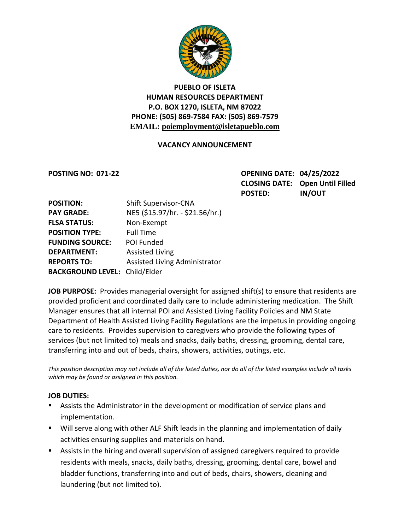

### **PUEBLO OF ISLETA HUMAN RESOURCES DEPARTMENT P.O. BOX 1270, ISLETA, NM 87022 PHONE: (505) 869-7584 FAX: (505) 869-7579 EMAIL: poiemployment@isletapueblo.com**

### **VACANCY ANNOUNCEMENT**

**POSTING NO: 071-22 OPENING DATE: 04/25/2022 CLOSING DATE: Open Until Filled POSTED: IN/OUT**

| <b>POSITION:</b>                     | <b>Shift Supervisor-CNA</b>     |
|--------------------------------------|---------------------------------|
| <b>PAY GRADE:</b>                    | NE5 (\$15.97/hr. - \$21.56/hr.) |
| <b>FLSA STATUS:</b>                  | Non-Exempt                      |
| <b>POSITION TYPE:</b>                | <b>Full Time</b>                |
| <b>FUNDING SOURCE:</b>               | POI Funded                      |
| <b>DEPARTMENT:</b>                   | <b>Assisted Living</b>          |
| <b>REPORTS TO:</b>                   | Assisted Living Administrator   |
| <b>BACKGROUND LEVEL: Child/Elder</b> |                                 |

**JOB PURPOSE:** Provides managerial oversight for assigned shift(s) to ensure that residents are provided proficient and coordinated daily care to include administering medication. The Shift Manager ensures that all internal POI and Assisted Living Facility Policies and NM State Department of Health Assisted Living Facility Regulations are the impetus in providing ongoing care to residents. Provides supervision to caregivers who provide the following types of services (but not limited to) meals and snacks, daily baths, dressing, grooming, dental care, transferring into and out of beds, chairs, showers, activities, outings, etc.

*This position description may not include all of the listed duties, nor do all of the listed examples include all tasks which may be found or assigned in this position.*

### **JOB DUTIES:**

- Assists the Administrator in the development or modification of service plans and implementation.
- Will serve along with other ALF Shift leads in the planning and implementation of daily activities ensuring supplies and materials on hand.
- Assists in the hiring and overall supervision of assigned caregivers required to provide residents with meals, snacks, daily baths, dressing, grooming, dental care, bowel and bladder functions, transferring into and out of beds, chairs, showers, cleaning and laundering (but not limited to).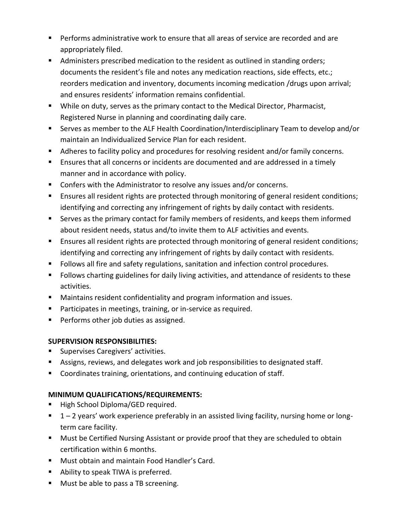- Performs administrative work to ensure that all areas of service are recorded and are appropriately filed.
- Administers prescribed medication to the resident as outlined in standing orders; documents the resident's file and notes any medication reactions, side effects, etc.; reorders medication and inventory, documents incoming medication /drugs upon arrival; and ensures residents' information remains confidential.
- While on duty, serves as the primary contact to the Medical Director, Pharmacist, Registered Nurse in planning and coordinating daily care.
- Serves as member to the ALF Health Coordination/Interdisciplinary Team to develop and/or maintain an Individualized Service Plan for each resident.
- Adheres to facility policy and procedures for resolving resident and/or family concerns.
- Ensures that all concerns or incidents are documented and are addressed in a timely manner and in accordance with policy.
- Confers with the Administrator to resolve any issues and/or concerns.
- **Ensures all resident rights are protected through monitoring of general resident conditions;** identifying and correcting any infringement of rights by daily contact with residents.
- Serves as the primary contact for family members of residents, and keeps them informed about resident needs, status and/to invite them to ALF activities and events.
- Ensures all resident rights are protected through monitoring of general resident conditions; identifying and correcting any infringement of rights by daily contact with residents.
- **Follows all fire and safety regulations, sanitation and infection control procedures.**
- **Follows charting guidelines for daily living activities, and attendance of residents to these** activities.
- Maintains resident confidentiality and program information and issues.
- **Participates in meetings, training, or in-service as required.**
- **Performs other job duties as assigned.**

# **SUPERVISION RESPONSIBILITIES:**

- **Supervises Caregivers' activities.**
- Assigns, reviews, and delegates work and job responsibilities to designated staff.
- Coordinates training, orientations, and continuing education of staff.

# **MINIMUM QUALIFICATIONS/REQUIREMENTS:**

- High School Diploma/GED required.
- $\blacksquare$  1 2 years' work experience preferably in an assisted living facility, nursing home or longterm care facility.
- **Must be Certified Nursing Assistant or provide proof that they are scheduled to obtain** certification within 6 months.
- **Must obtain and maintain Food Handler's Card.**
- Ability to speak TIWA is preferred.
- **Must be able to pass a TB screening.**